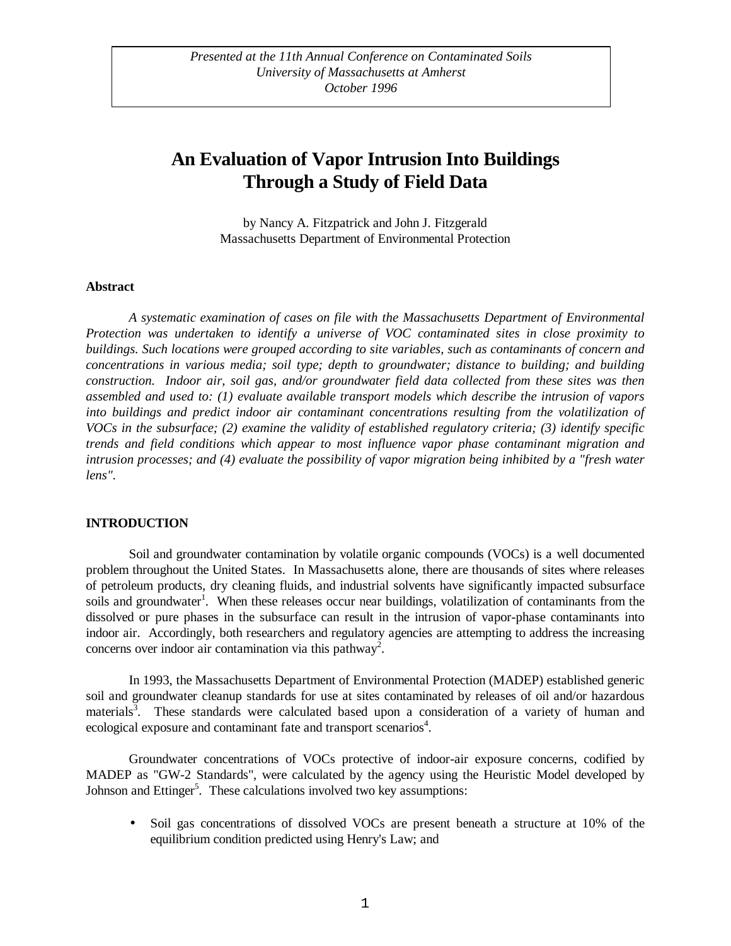# **An Evaluation of Vapor Intrusion Into Buildings Through a Study of Field Data**

by Nancy A. Fitzpatrick and John J. Fitzgerald Massachusetts Department of Environmental Protection

#### **Abstract**

*A systematic examination of cases on file with the Massachusetts Department of Environmental Protection was undertaken to identify a universe of VOC contaminated sites in close proximity to buildings. Such locations were grouped according to site variables, such as contaminants of concern and concentrations in various media; soil type; depth to groundwater; distance to building; and building construction. Indoor air, soil gas, and/or groundwater field data collected from these sites was then assembled and used to: (1) evaluate available transport models which describe the intrusion of vapors into buildings and predict indoor air contaminant concentrations resulting from the volatilization of VOCs in the subsurface; (2) examine the validity of established regulatory criteria; (3) identify specific trends and field conditions which appear to most influence vapor phase contaminant migration and intrusion processes; and (4) evaluate the possibility of vapor migration being inhibited by a "fresh water lens".*

#### **INTRODUCTION**

Soil and groundwater contamination by volatile organic compounds (VOCs) is a well documented problem throughout the United States. In Massachusetts alone, there are thousands of sites where releases of petroleum products, dry cleaning fluids, and industrial solvents have significantly impacted subsurface soils and groundwater<sup>1</sup>. When these releases occur near buildings, volatilization of contaminants from the dissolved or pure phases in the subsurface can result in the intrusion of vapor-phase contaminants into indoor air. Accordingly, both researchers and regulatory agencies are attempting to address the increasing concerns over indoor air contamination via this pathway<sup>2</sup>.

In 1993, the Massachusetts Department of Environmental Protection (MADEP) established generic soil and groundwater cleanup standards for use at sites contaminated by releases of oil and/or hazardous materials<sup>3</sup>. These standards were calculated based upon a consideration of a variety of human and ecological exposure and contaminant fate and transport scenarios<sup>4</sup>.

Groundwater concentrations of VOCs protective of indoor-air exposure concerns, codified by MADEP as "GW-2 Standards", were calculated by the agency using the Heuristic Model developed by Johnson and Ettinger<sup>5</sup>. These calculations involved two key assumptions:

• Soil gas concentrations of dissolved VOCs are present beneath a structure at 10% of the equilibrium condition predicted using Henry's Law; and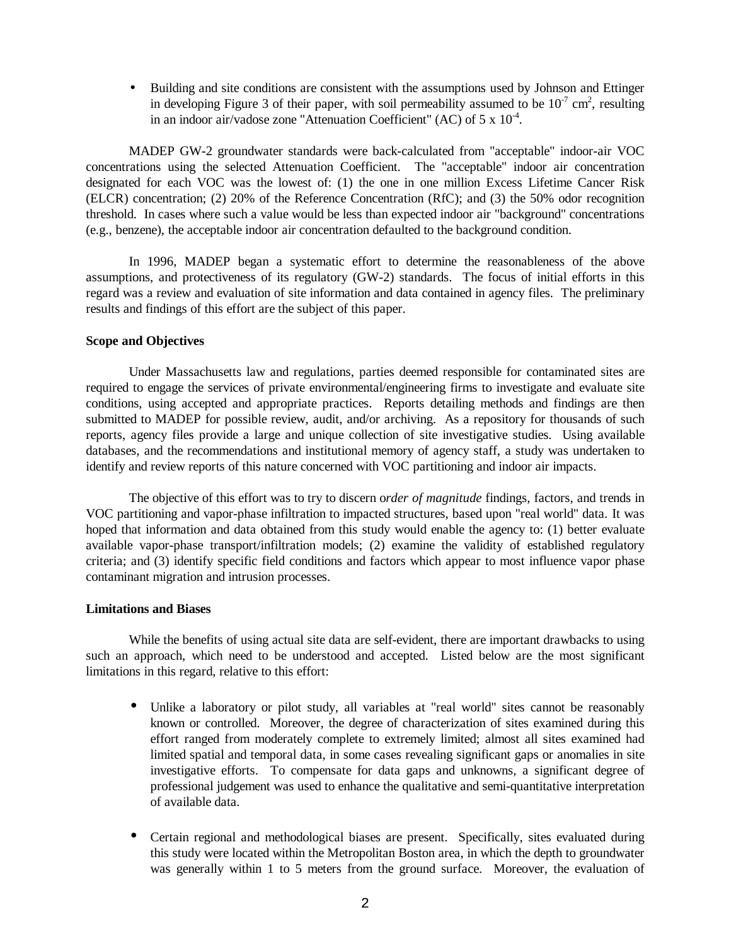• Building and site conditions are consistent with the assumptions used by Johnson and Ettinger in developing Figure 3 of their paper, with soil permeability assumed to be  $10^{-7}$  cm<sup>2</sup>, resulting in an indoor air/vadose zone "Attenuation Coefficient" (AC) of  $5 \times 10^{-4}$ .

MADEP GW-2 groundwater standards were back-calculated from "acceptable" indoor-air VOC concentrations using the selected Attenuation Coefficient. The "acceptable" indoor air concentration designated for each VOC was the lowest of: (1) the one in one million Excess Lifetime Cancer Risk (ELCR) concentration; (2) 20% of the Reference Concentration (RfC); and (3) the 50% odor recognition threshold. In cases where such a value would be less than expected indoor air "background" concentrations (e.g., benzene), the acceptable indoor air concentration defaulted to the background condition.

In 1996, MADEP began a systematic effort to determine the reasonableness of the above assumptions, and protectiveness of its regulatory (GW-2) standards. The focus of initial efforts in this regard was a review and evaluation of site information and data contained in agency files. The preliminary results and findings of this effort are the subject of this paper.

## **Scope and Objectives**

Under Massachusetts law and regulations, parties deemed responsible for contaminated sites are required to engage the services of private environmental/engineering firms to investigate and evaluate site conditions, using accepted and appropriate practices. Reports detailing methods and findings are then submitted to MADEP for possible review, audit, and/or archiving. As a repository for thousands of such reports, agency files provide a large and unique collection of site investigative studies. Using available databases, and the recommendations and institutional memory of agency staff, a study was undertaken to identify and review reports of this nature concerned with VOC partitioning and indoor air impacts.

The objective of this effort was to try to discern o*rder of magnitude* findings, factors, and trends in VOC partitioning and vapor-phase infiltration to impacted structures, based upon "real world" data. It was hoped that information and data obtained from this study would enable the agency to: (1) better evaluate available vapor-phase transport/infiltration models; (2) examine the validity of established regulatory criteria; and (3) identify specific field conditions and factors which appear to most influence vapor phase contaminant migration and intrusion processes.

## **Limitations and Biases**

While the benefits of using actual site data are self-evident, there are important drawbacks to using such an approach, which need to be understood and accepted. Listed below are the most significant limitations in this regard, relative to this effort:

- Unlike a laboratory or pilot study, all variables at "real world" sites cannot be reasonably known or controlled. Moreover, the degree of characterization of sites examined during this effort ranged from moderately complete to extremely limited; almost all sites examined had limited spatial and temporal data, in some cases revealing significant gaps or anomalies in site investigative efforts. To compensate for data gaps and unknowns, a significant degree of professional judgement was used to enhance the qualitative and semi-quantitative interpretation of available data.
- Certain regional and methodological biases are present. Specifically, sites evaluated during this study were located within the Metropolitan Boston area, in which the depth to groundwater was generally within 1 to 5 meters from the ground surface. Moreover, the evaluation of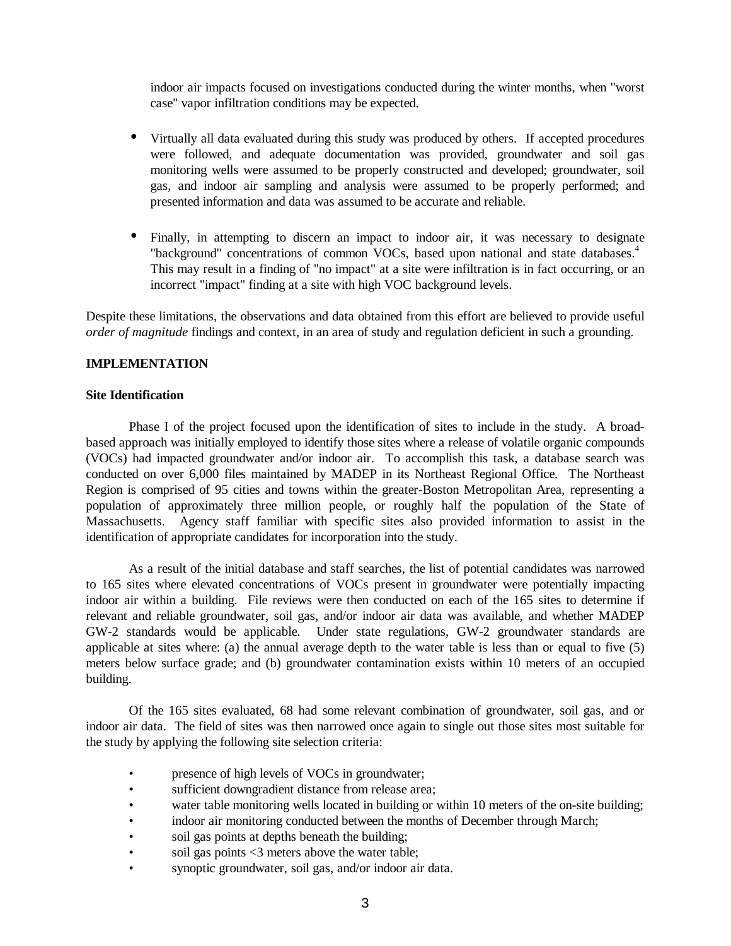indoor air impacts focused on investigations conducted during the winter months, when "worst case" vapor infiltration conditions may be expected.

- Virtually all data evaluated during this study was produced by others. If accepted procedures were followed, and adequate documentation was provided, groundwater and soil gas monitoring wells were assumed to be properly constructed and developed; groundwater, soil gas, and indoor air sampling and analysis were assumed to be properly performed; and presented information and data was assumed to be accurate and reliable.
- Finally, in attempting to discern an impact to indoor air, it was necessary to designate "background" concentrations of common VOCs, based upon national and state databases.<sup>4</sup> This may result in a finding of "no impact" at a site were infiltration is in fact occurring, or an incorrect "impact" finding at a site with high VOC background levels.

Despite these limitations, the observations and data obtained from this effort are believed to provide useful *order of magnitude* findings and context, in an area of study and regulation deficient in such a grounding.

## **IMPLEMENTATION**

## **Site Identification**

Phase I of the project focused upon the identification of sites to include in the study. A broadbased approach was initially employed to identify those sites where a release of volatile organic compounds (VOCs) had impacted groundwater and/or indoor air. To accomplish this task, a database search was conducted on over 6,000 files maintained by MADEP in its Northeast Regional Office. The Northeast Region is comprised of 95 cities and towns within the greater-Boston Metropolitan Area, representing a population of approximately three million people, or roughly half the population of the State of Massachusetts. Agency staff familiar with specific sites also provided information to assist in the identification of appropriate candidates for incorporation into the study.

As a result of the initial database and staff searches, the list of potential candidates was narrowed to 165 sites where elevated concentrations of VOCs present in groundwater were potentially impacting indoor air within a building. File reviews were then conducted on each of the 165 sites to determine if relevant and reliable groundwater, soil gas, and/or indoor air data was available, and whether MADEP GW-2 standards would be applicable. Under state regulations, GW-2 groundwater standards are applicable at sites where: (a) the annual average depth to the water table is less than or equal to five (5) meters below surface grade; and (b) groundwater contamination exists within 10 meters of an occupied building.

Of the 165 sites evaluated, 68 had some relevant combination of groundwater, soil gas, and or indoor air data. The field of sites was then narrowed once again to single out those sites most suitable for the study by applying the following site selection criteria:

- presence of high levels of VOCs in groundwater;
- sufficient downgradient distance from release area;
- water table monitoring wells located in building or within 10 meters of the on-site building;
- indoor air monitoring conducted between the months of December through March;
- soil gas points at depths beneath the building;
- soil gas points <3 meters above the water table;
- synoptic groundwater, soil gas, and/or indoor air data.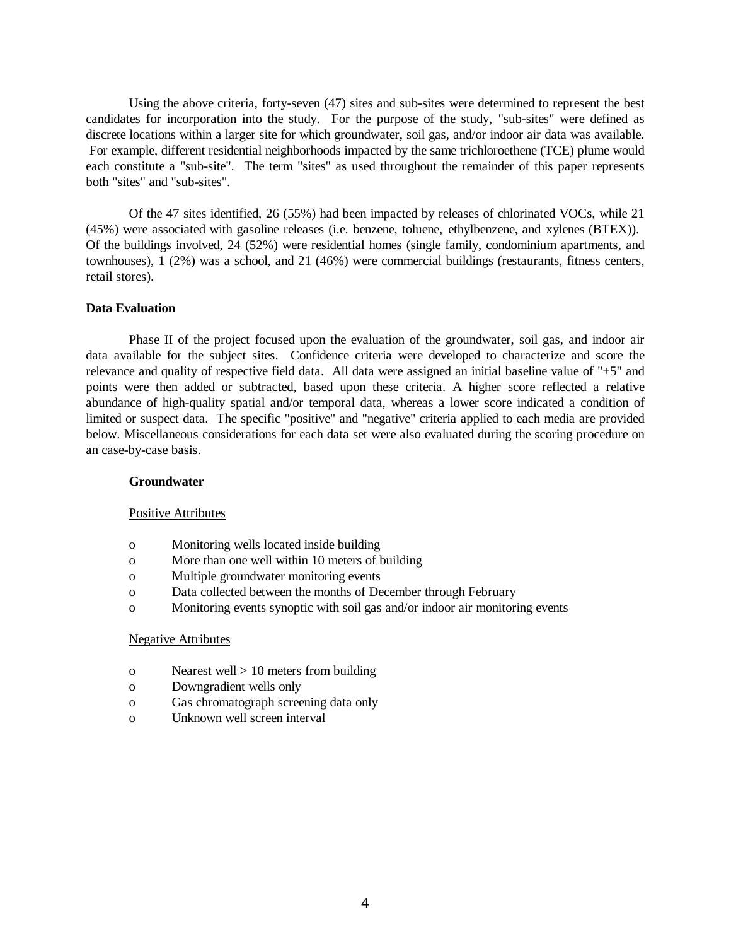Using the above criteria, forty-seven (47) sites and sub-sites were determined to represent the best candidates for incorporation into the study. For the purpose of the study, "sub-sites" were defined as discrete locations within a larger site for which groundwater, soil gas, and/or indoor air data was available. For example, different residential neighborhoods impacted by the same trichloroethene (TCE) plume would each constitute a "sub-site". The term "sites" as used throughout the remainder of this paper represents both "sites" and "sub-sites".

Of the 47 sites identified, 26 (55%) had been impacted by releases of chlorinated VOCs, while 21 (45%) were associated with gasoline releases (i.e. benzene, toluene, ethylbenzene, and xylenes (BTEX)). Of the buildings involved, 24 (52%) were residential homes (single family, condominium apartments, and townhouses), 1 (2%) was a school, and 21 (46%) were commercial buildings (restaurants, fitness centers, retail stores).

## **Data Evaluation**

Phase II of the project focused upon the evaluation of the groundwater, soil gas, and indoor air data available for the subject sites. Confidence criteria were developed to characterize and score the relevance and quality of respective field data. All data were assigned an initial baseline value of "+5" and points were then added or subtracted, based upon these criteria. A higher score reflected a relative abundance of high-quality spatial and/or temporal data, whereas a lower score indicated a condition of limited or suspect data. The specific "positive" and "negative" criteria applied to each media are provided below. Miscellaneous considerations for each data set were also evaluated during the scoring procedure on an case-by-case basis.

#### **Groundwater**

#### Positive Attributes

- o Monitoring wells located inside building
- o More than one well within 10 meters of building
- o Multiple groundwater monitoring events
- o Data collected between the months of December through February
- o Monitoring events synoptic with soil gas and/or indoor air monitoring events

#### Negative Attributes

- o Nearest well  $> 10$  meters from building
- o Downgradient wells only
- o Gas chromatograph screening data only
- o Unknown well screen interval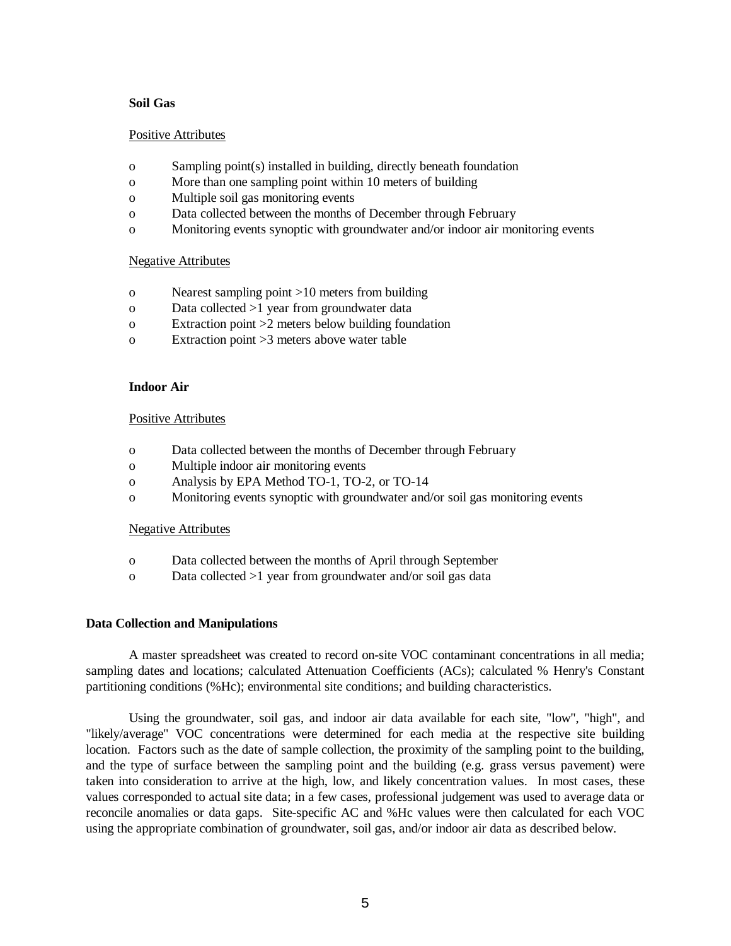## **Soil Gas**

## Positive Attributes

- o Sampling point(s) installed in building, directly beneath foundation
- o More than one sampling point within 10 meters of building
- o Multiple soil gas monitoring events
- o Data collected between the months of December through February
- o Monitoring events synoptic with groundwater and/or indoor air monitoring events

## Negative Attributes

- o Nearest sampling point >10 meters from building
- o Data collected >1 year from groundwater data
- o Extraction point >2 meters below building foundation
- o Extraction point >3 meters above water table

## **Indoor Air**

## Positive Attributes

- o Data collected between the months of December through February
- o Multiple indoor air monitoring events
- o Analysis by EPA Method TO-1, TO-2, or TO-14
- o Monitoring events synoptic with groundwater and/or soil gas monitoring events

#### Negative Attributes

- o Data collected between the months of April through September
- o Data collected >1 year from groundwater and/or soil gas data

#### **Data Collection and Manipulations**

A master spreadsheet was created to record on-site VOC contaminant concentrations in all media; sampling dates and locations; calculated Attenuation Coefficients (ACs); calculated % Henry's Constant partitioning conditions (%Hc); environmental site conditions; and building characteristics.

Using the groundwater, soil gas, and indoor air data available for each site, "low", "high", and "likely/average" VOC concentrations were determined for each media at the respective site building location. Factors such as the date of sample collection, the proximity of the sampling point to the building, and the type of surface between the sampling point and the building (e.g. grass versus pavement) were taken into consideration to arrive at the high, low, and likely concentration values. In most cases, these values corresponded to actual site data; in a few cases, professional judgement was used to average data or reconcile anomalies or data gaps. Site-specific AC and %Hc values were then calculated for each VOC using the appropriate combination of groundwater, soil gas, and/or indoor air data as described below.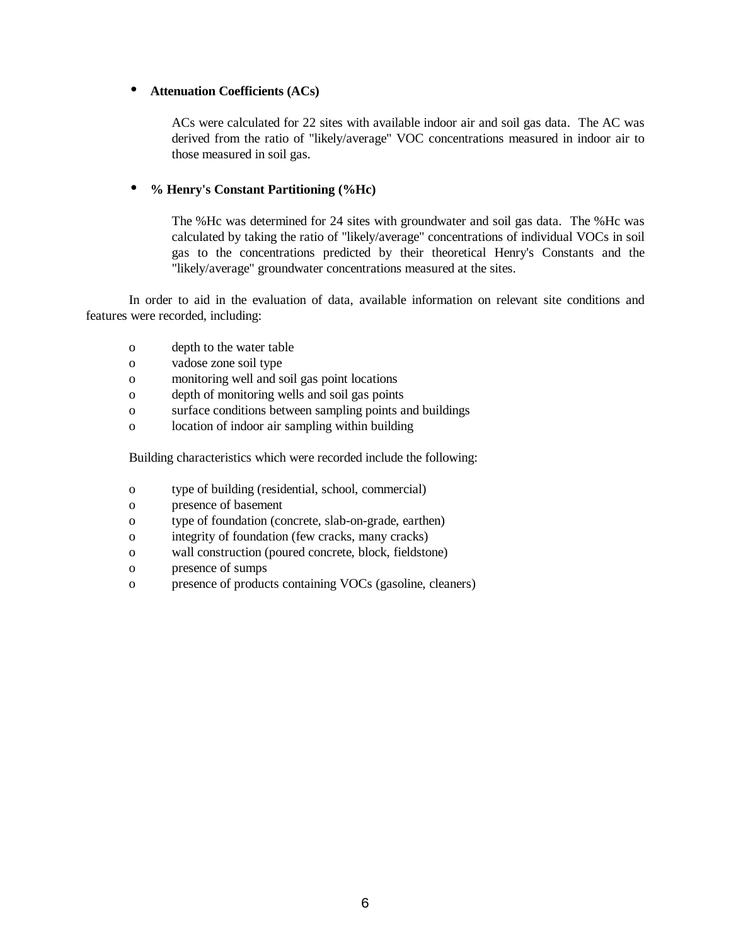## • **Attenuation Coefficients (ACs)**

ACs were calculated for 22 sites with available indoor air and soil gas data. The AC was derived from the ratio of "likely/average" VOC concentrations measured in indoor air to those measured in soil gas.

# • **% Henry's Constant Partitioning (%Hc)**

The %Hc was determined for 24 sites with groundwater and soil gas data. The %Hc was calculated by taking the ratio of "likely/average" concentrations of individual VOCs in soil gas to the concentrations predicted by their theoretical Henry's Constants and the "likely/average" groundwater concentrations measured at the sites.

In order to aid in the evaluation of data, available information on relevant site conditions and features were recorded, including:

- o depth to the water table
- o vadose zone soil type
- o monitoring well and soil gas point locations
- o depth of monitoring wells and soil gas points
- o surface conditions between sampling points and buildings
- o location of indoor air sampling within building

Building characteristics which were recorded include the following:

- o type of building (residential, school, commercial)
- o presence of basement
- o type of foundation (concrete, slab-on-grade, earthen)
- o integrity of foundation (few cracks, many cracks)
- o wall construction (poured concrete, block, fieldstone)
- o presence of sumps
- o presence of products containing VOCs (gasoline, cleaners)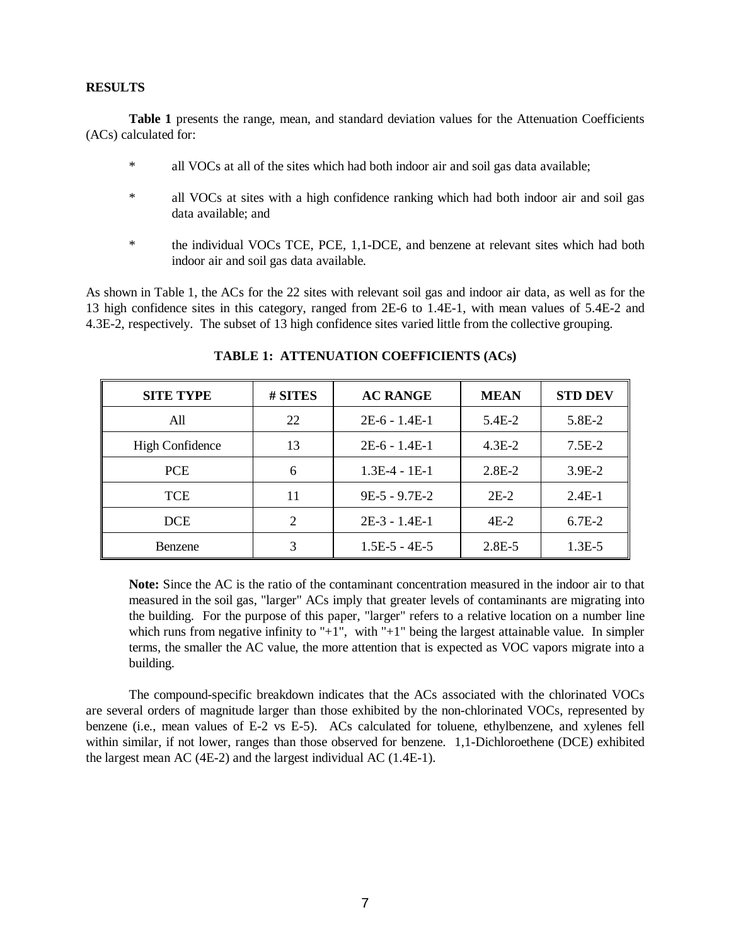#### **RESULTS**

**Table 1** presents the range, mean, and standard deviation values for the Attenuation Coefficients (ACs) calculated for:

- \* all VOCs at all of the sites which had both indoor air and soil gas data available;
- \* all VOCs at sites with a high confidence ranking which had both indoor air and soil gas data available; and
- \* the individual VOCs TCE, PCE, 1,1-DCE, and benzene at relevant sites which had both indoor air and soil gas data available.

As shown in Table 1, the ACs for the 22 sites with relevant soil gas and indoor air data, as well as for the 13 high confidence sites in this category, ranged from 2E-6 to 1.4E-1, with mean values of 5.4E-2 and 4.3E-2, respectively. The subset of 13 high confidence sites varied little from the collective grouping.

| <b>SITE TYPE</b>       | # SITES | <b>AC RANGE</b> | <b>MEAN</b> | <b>STD DEV</b> |
|------------------------|---------|-----------------|-------------|----------------|
| All                    | 22      | $2E-6 - 1.4E-1$ | $5.4E-2$    | $5.8E-2$       |
| <b>High Confidence</b> | 13      | $2E-6 - 1.4E-1$ | $4.3E-2$    | $7.5E-2$       |
| <b>PCE</b>             | 6       | $1.3E-4 - 1E-1$ | $2.8E-2$    | $3.9E-2$       |
| <b>TCE</b>             | 11      | $9E-5 - 9.7E-2$ | $2E-2$      | $2.4E-1$       |
| <b>DCE</b>             | 2       | $2E-3 - 1.4E-1$ | $4E-2$      | $6.7E-2$       |
| <b>Benzene</b>         |         | $1.5E-5 - 4E-5$ | $2.8E - 5$  | $1.3E-5$       |

**TABLE 1: ATTENUATION COEFFICIENTS (ACs)**

**Note:** Since the AC is the ratio of the contaminant concentration measured in the indoor air to that measured in the soil gas, "larger" ACs imply that greater levels of contaminants are migrating into the building. For the purpose of this paper, "larger" refers to a relative location on a number line which runs from negative infinity to "+1", with "+1" being the largest attainable value. In simpler terms, the smaller the AC value, the more attention that is expected as VOC vapors migrate into a building.

The compound-specific breakdown indicates that the ACs associated with the chlorinated VOCs are several orders of magnitude larger than those exhibited by the non-chlorinated VOCs, represented by benzene (i.e., mean values of E-2 vs E-5). ACs calculated for toluene, ethylbenzene, and xylenes fell within similar, if not lower, ranges than those observed for benzene. 1,1-Dichloroethene (DCE) exhibited the largest mean AC (4E-2) and the largest individual AC (1.4E-1).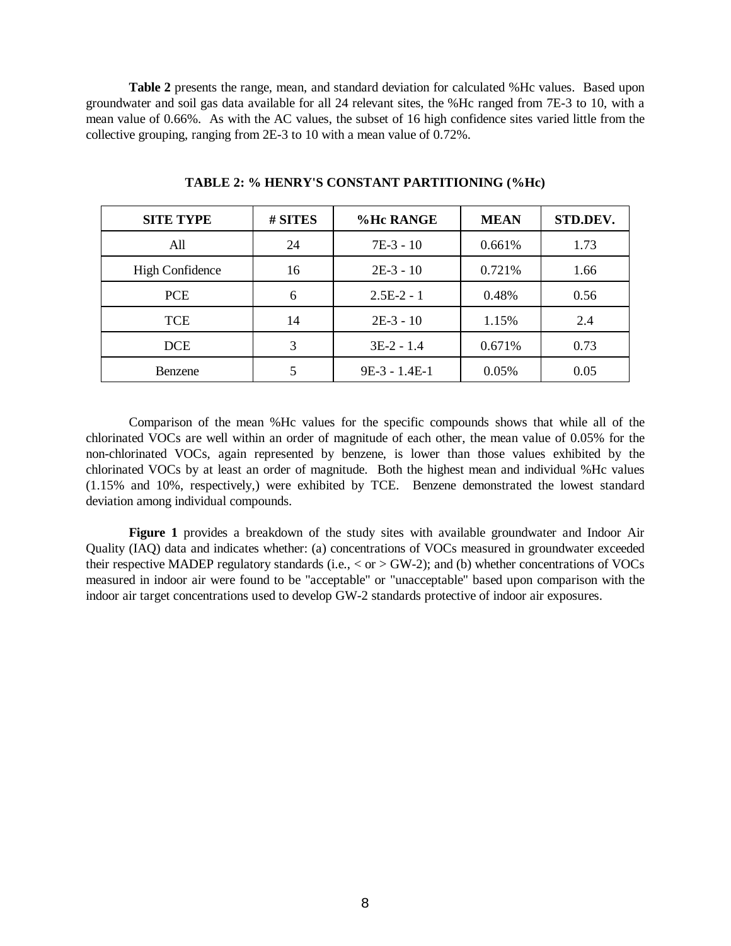**Table 2** presents the range, mean, and standard deviation for calculated %Hc values. Based upon groundwater and soil gas data available for all 24 relevant sites, the %Hc ranged from 7E-3 to 10, with a mean value of 0.66%. As with the AC values, the subset of 16 high confidence sites varied little from the collective grouping, ranging from 2E-3 to 10 with a mean value of 0.72%.

| <b>SITE TYPE</b> | # SITES | %Hc RANGE       | <b>MEAN</b> | STD.DEV. |
|------------------|---------|-----------------|-------------|----------|
| A11              | 24      | $7E-3 - 10$     | 0.661%      | 1.73     |
| High Confidence  | 16      | $2E-3 - 10$     | 0.721\%     | 1.66     |
| <b>PCE</b>       | 6       | $2.5E-2 - 1$    | 0.48%       | 0.56     |
| <b>TCE</b>       | 14      | $2E-3 - 10$     | 1.15%       | 2.4      |
| <b>DCE</b>       | 3       | $3E-2 - 1.4$    | 0.671%      | 0.73     |
| Benzene          |         | $9E-3 - 1.4E-1$ | 0.05%       | 0.05     |

**TABLE 2: % HENRY'S CONSTANT PARTITIONING (%Hc)**

Comparison of the mean %Hc values for the specific compounds shows that while all of the chlorinated VOCs are well within an order of magnitude of each other, the mean value of 0.05% for the non-chlorinated VOCs, again represented by benzene, is lower than those values exhibited by the chlorinated VOCs by at least an order of magnitude. Both the highest mean and individual %Hc values (1.15% and 10%, respectively,) were exhibited by TCE. Benzene demonstrated the lowest standard deviation among individual compounds.

**Figure 1** provides a breakdown of the study sites with available groundwater and Indoor Air Quality (IAQ) data and indicates whether: (a) concentrations of VOCs measured in groundwater exceeded their respective MADEP regulatory standards (i.e.,  $\langle$  or  $\rangle$  GW-2); and (b) whether concentrations of VOCs measured in indoor air were found to be "acceptable" or "unacceptable" based upon comparison with the indoor air target concentrations used to develop GW-2 standards protective of indoor air exposures.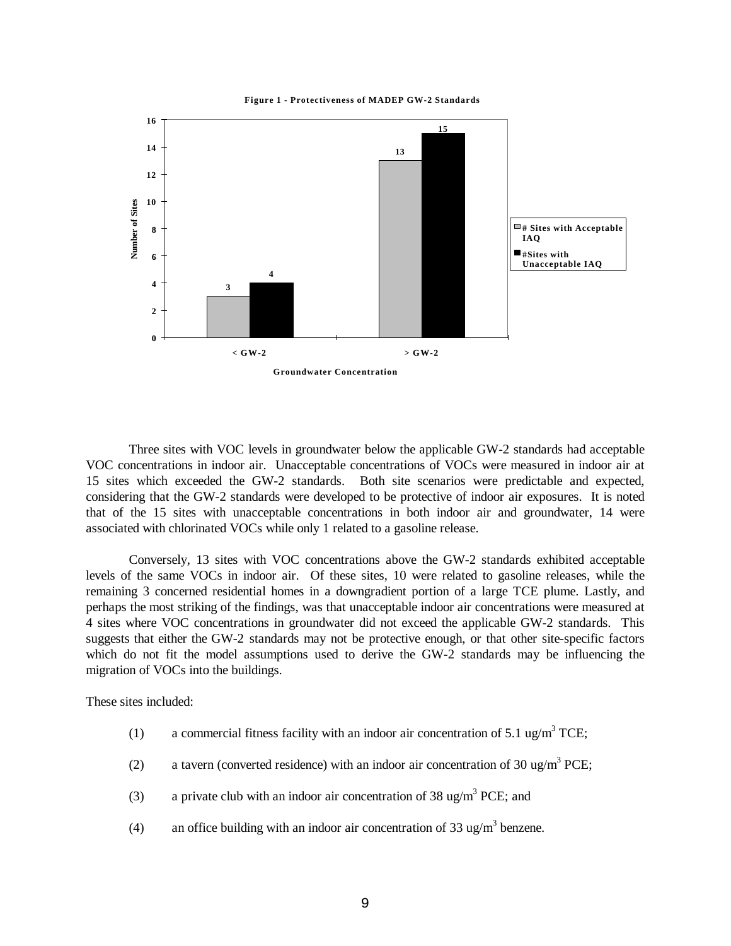#### **Figure 1 - Protectiveness of MADEP GW-2 Standards**



Three sites with VOC levels in groundwater below the applicable GW-2 standards had acceptable VOC concentrations in indoor air. Unacceptable concentrations of VOCs were measured in indoor air at 15 sites which exceeded the GW-2 standards. Both site scenarios were predictable and expected, considering that the GW-2 standards were developed to be protective of indoor air exposures. It is noted that of the 15 sites with unacceptable concentrations in both indoor air and groundwater, 14 were associated with chlorinated VOCs while only 1 related to a gasoline release.

Conversely, 13 sites with VOC concentrations above the GW-2 standards exhibited acceptable levels of the same VOCs in indoor air. Of these sites, 10 were related to gasoline releases, while the remaining 3 concerned residential homes in a downgradient portion of a large TCE plume. Lastly, and perhaps the most striking of the findings, was that unacceptable indoor air concentrations were measured at 4 sites where VOC concentrations in groundwater did not exceed the applicable GW-2 standards. This suggests that either the GW-2 standards may not be protective enough, or that other site-specific factors which do not fit the model assumptions used to derive the GW-2 standards may be influencing the migration of VOCs into the buildings.

These sites included:

- (1) a commercial fitness facility with an indoor air concentration of 5.1 ug/m<sup>3</sup> TCE;
- (2) a tavern (converted residence) with an indoor air concentration of 30 ug/m<sup>3</sup> PCE;
- (3) a private club with an indoor air concentration of 38 ug/m<sup>3</sup> PCE; and
- (4) an office building with an indoor air concentration of 33 ug/m<sup>3</sup> benzene.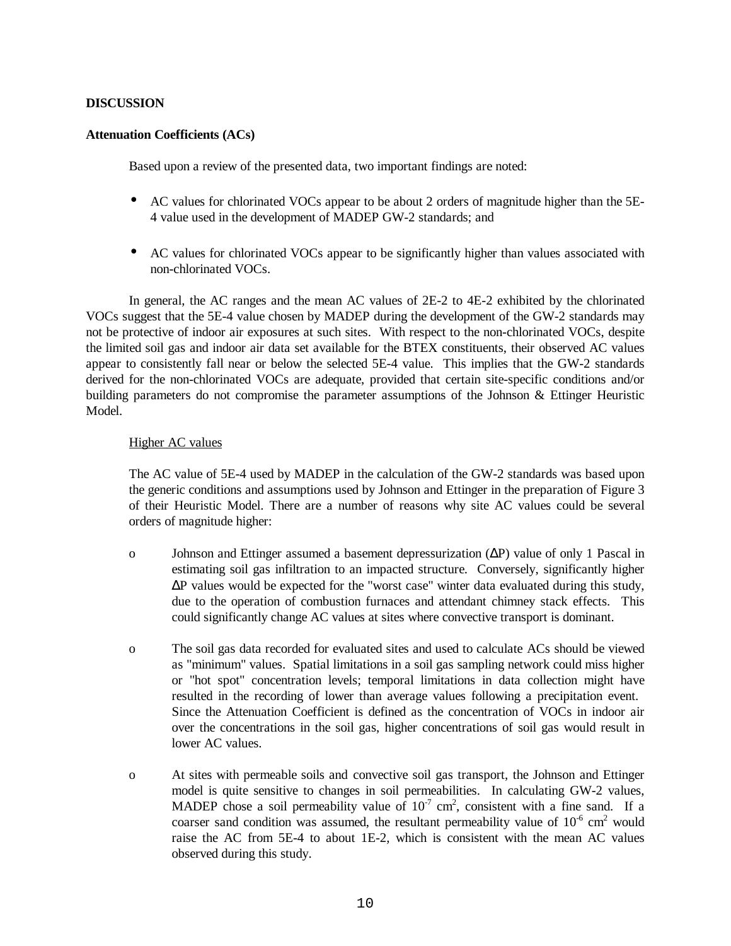## **DISCUSSION**

## **Attenuation Coefficients (ACs)**

Based upon a review of the presented data, two important findings are noted:

- AC values for chlorinated VOCs appear to be about 2 orders of magnitude higher than the 5E-4 value used in the development of MADEP GW-2 standards; and
- AC values for chlorinated VOCs appear to be significantly higher than values associated with non-chlorinated VOCs.

In general, the AC ranges and the mean AC values of 2E-2 to 4E-2 exhibited by the chlorinated VOCs suggest that the 5E-4 value chosen by MADEP during the development of the GW-2 standards may not be protective of indoor air exposures at such sites. With respect to the non-chlorinated VOCs, despite the limited soil gas and indoor air data set available for the BTEX constituents, their observed AC values appear to consistently fall near or below the selected 5E-4 value. This implies that the GW-2 standards derived for the non-chlorinated VOCs are adequate, provided that certain site-specific conditions and/or building parameters do not compromise the parameter assumptions of the Johnson & Ettinger Heuristic Model.

## Higher AC values

The AC value of 5E-4 used by MADEP in the calculation of the GW-2 standards was based upon the generic conditions and assumptions used by Johnson and Ettinger in the preparation of Figure 3 of their Heuristic Model. There are a number of reasons why site AC values could be several orders of magnitude higher:

- o Johnson and Ettinger assumed a basement depressurization (ΔP) value of only 1 Pascal in estimating soil gas infiltration to an impacted structure. Conversely, significantly higher ΔP values would be expected for the "worst case" winter data evaluated during this study, due to the operation of combustion furnaces and attendant chimney stack effects. This could significantly change AC values at sites where convective transport is dominant.
- o The soil gas data recorded for evaluated sites and used to calculate ACs should be viewed as "minimum" values. Spatial limitations in a soil gas sampling network could miss higher or "hot spot" concentration levels; temporal limitations in data collection might have resulted in the recording of lower than average values following a precipitation event. Since the Attenuation Coefficient is defined as the concentration of VOCs in indoor air over the concentrations in the soil gas, higher concentrations of soil gas would result in lower AC values.
- o At sites with permeable soils and convective soil gas transport, the Johnson and Ettinger model is quite sensitive to changes in soil permeabilities. In calculating GW-2 values, MADEP chose a soil permeability value of  $10^{-7}$  cm<sup>2</sup>, consistent with a fine sand. If a coarser sand condition was assumed, the resultant permeability value of  $10^{-6}$  cm<sup>2</sup> would raise the AC from 5E-4 to about 1E-2, which is consistent with the mean AC values observed during this study.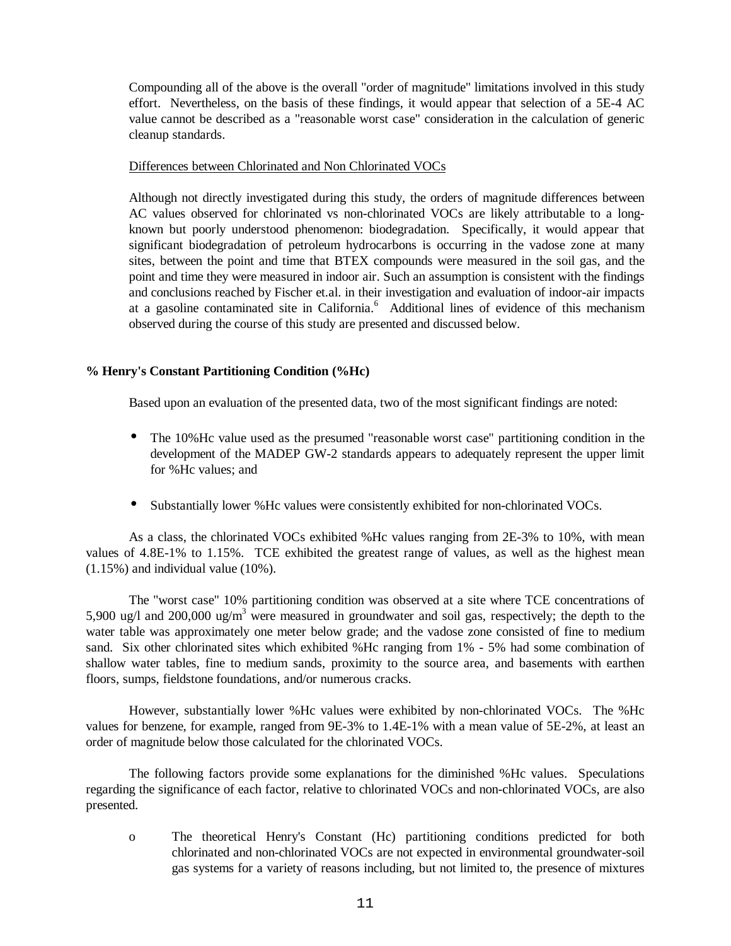Compounding all of the above is the overall "order of magnitude" limitations involved in this study effort. Nevertheless, on the basis of these findings, it would appear that selection of a 5E-4 AC value cannot be described as a "reasonable worst case" consideration in the calculation of generic cleanup standards.

## Differences between Chlorinated and Non Chlorinated VOCs

Although not directly investigated during this study, the orders of magnitude differences between AC values observed for chlorinated vs non-chlorinated VOCs are likely attributable to a longknown but poorly understood phenomenon: biodegradation. Specifically, it would appear that significant biodegradation of petroleum hydrocarbons is occurring in the vadose zone at many sites, between the point and time that BTEX compounds were measured in the soil gas, and the point and time they were measured in indoor air. Such an assumption is consistent with the findings and conclusions reached by Fischer et.al. in their investigation and evaluation of indoor-air impacts at a gasoline contaminated site in California.<sup>6</sup> Additional lines of evidence of this mechanism observed during the course of this study are presented and discussed below.

# **% Henry's Constant Partitioning Condition (%Hc)**

Based upon an evaluation of the presented data, two of the most significant findings are noted:

- The 10%Hc value used as the presumed "reasonable worst case" partitioning condition in the development of the MADEP GW-2 standards appears to adequately represent the upper limit for %Hc values; and
- Substantially lower %Hc values were consistently exhibited for non-chlorinated VOCs.

As a class, the chlorinated VOCs exhibited %Hc values ranging from 2E-3% to 10%, with mean values of 4.8E-1% to 1.15%. TCE exhibited the greatest range of values, as well as the highest mean (1.15%) and individual value (10%).

The "worst case" 10% partitioning condition was observed at a site where TCE concentrations of 5,900 ug/l and 200,000 ug/m<sup>3</sup> were measured in groundwater and soil gas, respectively; the depth to the water table was approximately one meter below grade; and the vadose zone consisted of fine to medium sand. Six other chlorinated sites which exhibited %Hc ranging from 1% - 5% had some combination of shallow water tables, fine to medium sands, proximity to the source area, and basements with earthen floors, sumps, fieldstone foundations, and/or numerous cracks.

However, substantially lower %Hc values were exhibited by non-chlorinated VOCs. The %Hc values for benzene, for example, ranged from 9E-3% to 1.4E-1% with a mean value of 5E-2%, at least an order of magnitude below those calculated for the chlorinated VOCs.

The following factors provide some explanations for the diminished %Hc values. Speculations regarding the significance of each factor, relative to chlorinated VOCs and non-chlorinated VOCs, are also presented.

o The theoretical Henry's Constant (Hc) partitioning conditions predicted for both chlorinated and non-chlorinated VOCs are not expected in environmental groundwater-soil gas systems for a variety of reasons including, but not limited to, the presence of mixtures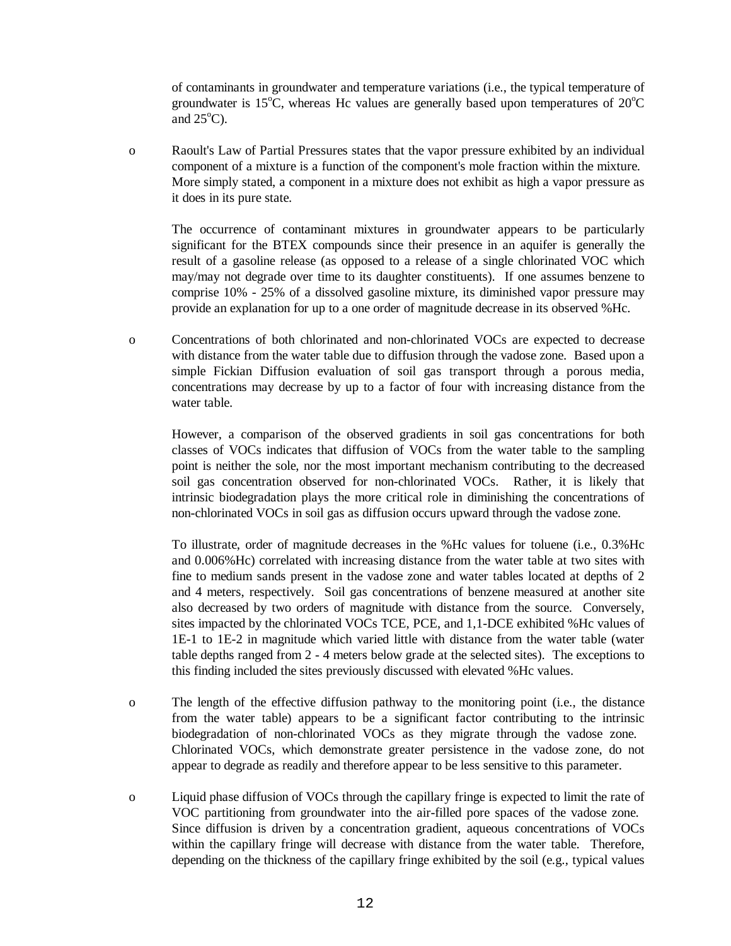of contaminants in groundwater and temperature variations (i.e., the typical temperature of groundwater is 15<sup>o</sup>C, whereas Hc values are generally based upon temperatures of  $20^{\circ}$ C and  $25^{\circ}$ C).

o Raoult's Law of Partial Pressures states that the vapor pressure exhibited by an individual component of a mixture is a function of the component's mole fraction within the mixture. More simply stated, a component in a mixture does not exhibit as high a vapor pressure as it does in its pure state.

The occurrence of contaminant mixtures in groundwater appears to be particularly significant for the BTEX compounds since their presence in an aquifer is generally the result of a gasoline release (as opposed to a release of a single chlorinated VOC which may/may not degrade over time to its daughter constituents). If one assumes benzene to comprise 10% - 25% of a dissolved gasoline mixture, its diminished vapor pressure may provide an explanation for up to a one order of magnitude decrease in its observed %Hc.

o Concentrations of both chlorinated and non-chlorinated VOCs are expected to decrease with distance from the water table due to diffusion through the vadose zone. Based upon a simple Fickian Diffusion evaluation of soil gas transport through a porous media, concentrations may decrease by up to a factor of four with increasing distance from the water table.

However, a comparison of the observed gradients in soil gas concentrations for both classes of VOCs indicates that diffusion of VOCs from the water table to the sampling point is neither the sole, nor the most important mechanism contributing to the decreased soil gas concentration observed for non-chlorinated VOCs. Rather, it is likely that intrinsic biodegradation plays the more critical role in diminishing the concentrations of non-chlorinated VOCs in soil gas as diffusion occurs upward through the vadose zone.

To illustrate, order of magnitude decreases in the %Hc values for toluene (i.e., 0.3%Hc and 0.006%Hc) correlated with increasing distance from the water table at two sites with fine to medium sands present in the vadose zone and water tables located at depths of 2 and 4 meters, respectively. Soil gas concentrations of benzene measured at another site also decreased by two orders of magnitude with distance from the source. Conversely, sites impacted by the chlorinated VOCs TCE, PCE, and 1,1-DCE exhibited %Hc values of 1E-1 to 1E-2 in magnitude which varied little with distance from the water table (water table depths ranged from 2 - 4 meters below grade at the selected sites). The exceptions to this finding included the sites previously discussed with elevated %Hc values.

- o The length of the effective diffusion pathway to the monitoring point (i.e., the distance from the water table) appears to be a significant factor contributing to the intrinsic biodegradation of non-chlorinated VOCs as they migrate through the vadose zone. Chlorinated VOCs, which demonstrate greater persistence in the vadose zone, do not appear to degrade as readily and therefore appear to be less sensitive to this parameter.
- o Liquid phase diffusion of VOCs through the capillary fringe is expected to limit the rate of VOC partitioning from groundwater into the air-filled pore spaces of the vadose zone. Since diffusion is driven by a concentration gradient, aqueous concentrations of VOCs within the capillary fringe will decrease with distance from the water table. Therefore, depending on the thickness of the capillary fringe exhibited by the soil (e.g., typical values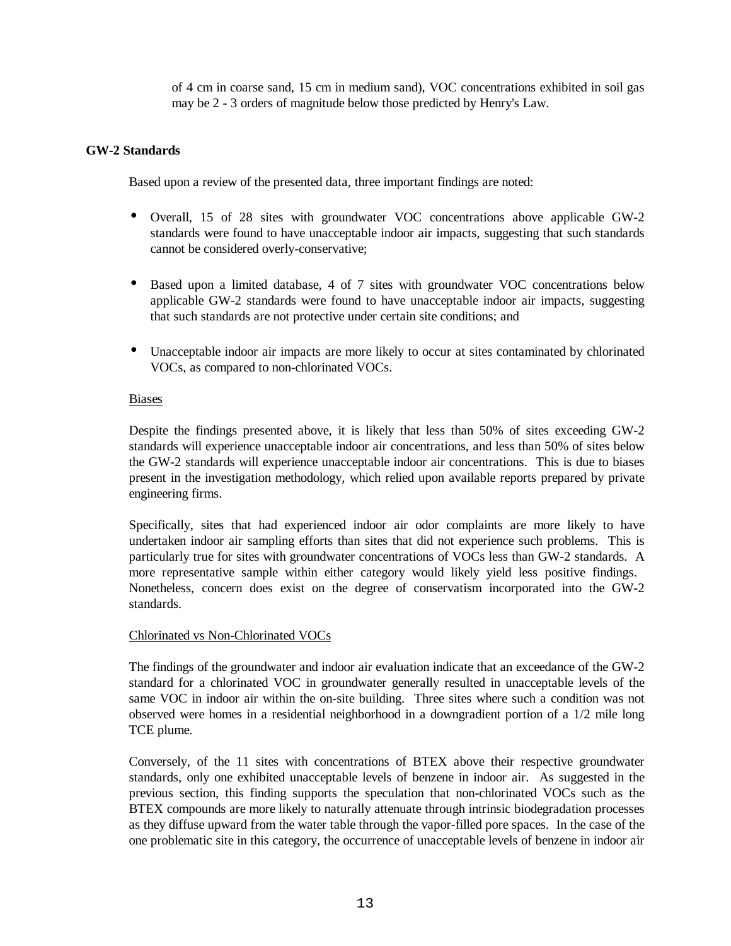of 4 cm in coarse sand, 15 cm in medium sand), VOC concentrations exhibited in soil gas may be 2 - 3 orders of magnitude below those predicted by Henry's Law.

## **GW-2 Standards**

Based upon a review of the presented data, three important findings are noted:

- Overall, 15 of 28 sites with groundwater VOC concentrations above applicable GW-2 standards were found to have unacceptable indoor air impacts, suggesting that such standards cannot be considered overly-conservative;
- Based upon a limited database, 4 of 7 sites with groundwater VOC concentrations below applicable GW-2 standards were found to have unacceptable indoor air impacts, suggesting that such standards are not protective under certain site conditions; and
- Unacceptable indoor air impacts are more likely to occur at sites contaminated by chlorinated VOCs, as compared to non-chlorinated VOCs.

## Biases

Despite the findings presented above, it is likely that less than 50% of sites exceeding GW-2 standards will experience unacceptable indoor air concentrations, and less than 50% of sites below the GW-2 standards will experience unacceptable indoor air concentrations. This is due to biases present in the investigation methodology, which relied upon available reports prepared by private engineering firms.

Specifically, sites that had experienced indoor air odor complaints are more likely to have undertaken indoor air sampling efforts than sites that did not experience such problems. This is particularly true for sites with groundwater concentrations of VOCs less than GW-2 standards. A more representative sample within either category would likely yield less positive findings. Nonetheless, concern does exist on the degree of conservatism incorporated into the GW-2 standards.

## Chlorinated vs Non-Chlorinated VOCs

The findings of the groundwater and indoor air evaluation indicate that an exceedance of the GW-2 standard for a chlorinated VOC in groundwater generally resulted in unacceptable levels of the same VOC in indoor air within the on-site building. Three sites where such a condition was not observed were homes in a residential neighborhood in a downgradient portion of a 1/2 mile long TCE plume.

Conversely, of the 11 sites with concentrations of BTEX above their respective groundwater standards, only one exhibited unacceptable levels of benzene in indoor air. As suggested in the previous section, this finding supports the speculation that non-chlorinated VOCs such as the BTEX compounds are more likely to naturally attenuate through intrinsic biodegradation processes as they diffuse upward from the water table through the vapor-filled pore spaces. In the case of the one problematic site in this category, the occurrence of unacceptable levels of benzene in indoor air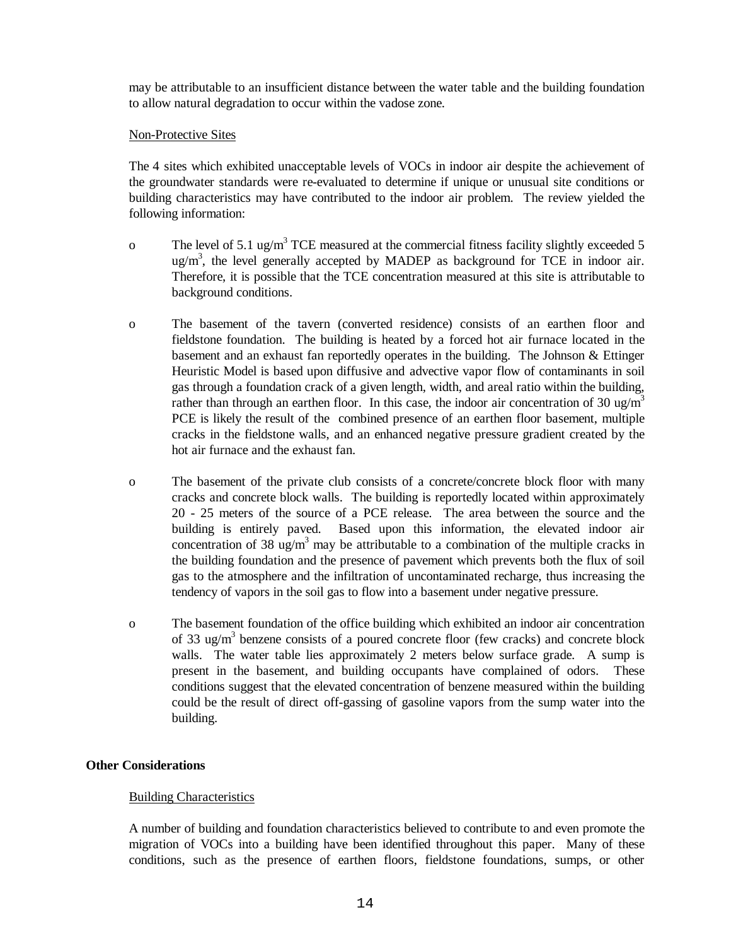may be attributable to an insufficient distance between the water table and the building foundation to allow natural degradation to occur within the vadose zone.

## Non-Protective Sites

The 4 sites which exhibited unacceptable levels of VOCs in indoor air despite the achievement of the groundwater standards were re-evaluated to determine if unique or unusual site conditions or building characteristics may have contributed to the indoor air problem. The review yielded the following information:

- o The level of 5.1 ug/m<sup>3</sup> TCE measured at the commercial fitness facility slightly exceeded 5  $\mu$ g/m<sup>3</sup>, the level generally accepted by MADEP as background for TCE in indoor air. Therefore, it is possible that the TCE concentration measured at this site is attributable to background conditions.
- o The basement of the tavern (converted residence) consists of an earthen floor and fieldstone foundation. The building is heated by a forced hot air furnace located in the basement and an exhaust fan reportedly operates in the building. The Johnson & Ettinger Heuristic Model is based upon diffusive and advective vapor flow of contaminants in soil gas through a foundation crack of a given length, width, and areal ratio within the building, rather than through an earthen floor. In this case, the indoor air concentration of 30 ug/m<sup>3</sup> PCE is likely the result of the combined presence of an earthen floor basement, multiple cracks in the fieldstone walls, and an enhanced negative pressure gradient created by the hot air furnace and the exhaust fan.
- o The basement of the private club consists of a concrete/concrete block floor with many cracks and concrete block walls. The building is reportedly located within approximately 20 - 25 meters of the source of a PCE release. The area between the source and the building is entirely paved. Based upon this information, the elevated indoor air concentration of 38 ug/m<sup>3</sup> may be attributable to a combination of the multiple cracks in the building foundation and the presence of pavement which prevents both the flux of soil gas to the atmosphere and the infiltration of uncontaminated recharge, thus increasing the tendency of vapors in the soil gas to flow into a basement under negative pressure.
- o The basement foundation of the office building which exhibited an indoor air concentration of 33 ug/m<sup>3</sup> benzene consists of a poured concrete floor (few cracks) and concrete block walls. The water table lies approximately 2 meters below surface grade. A sump is present in the basement, and building occupants have complained of odors. These conditions suggest that the elevated concentration of benzene measured within the building could be the result of direct off-gassing of gasoline vapors from the sump water into the building.

# **Other Considerations**

## Building Characteristics

A number of building and foundation characteristics believed to contribute to and even promote the migration of VOCs into a building have been identified throughout this paper. Many of these conditions, such as the presence of earthen floors, fieldstone foundations, sumps, or other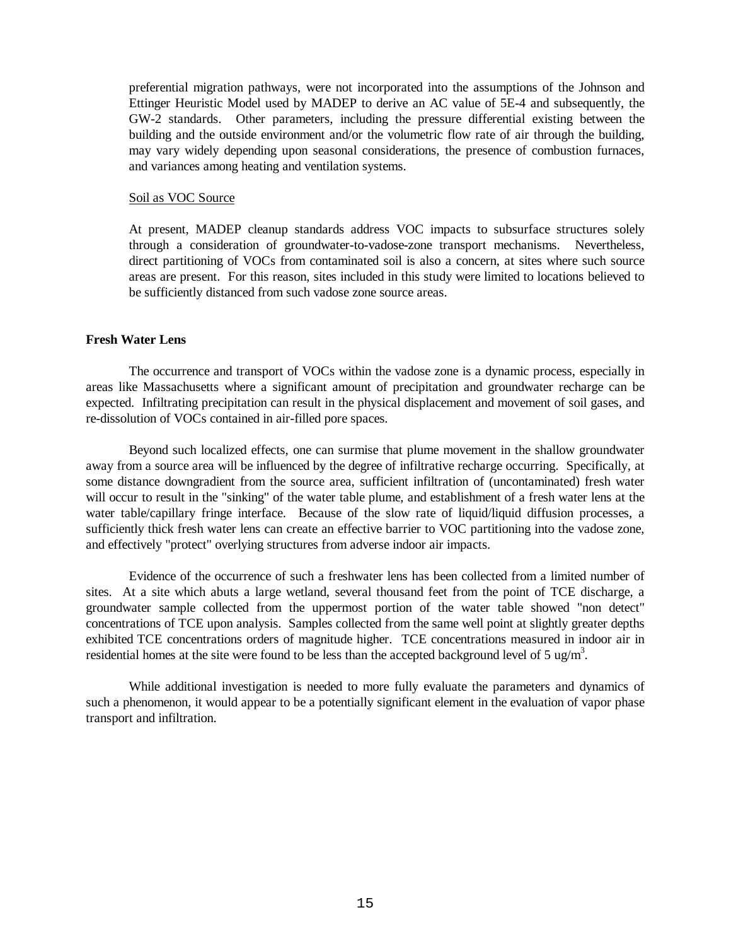preferential migration pathways, were not incorporated into the assumptions of the Johnson and Ettinger Heuristic Model used by MADEP to derive an AC value of 5E-4 and subsequently, the GW-2 standards. Other parameters, including the pressure differential existing between the building and the outside environment and/or the volumetric flow rate of air through the building, may vary widely depending upon seasonal considerations, the presence of combustion furnaces, and variances among heating and ventilation systems.

#### Soil as VOC Source

At present, MADEP cleanup standards address VOC impacts to subsurface structures solely through a consideration of groundwater-to-vadose-zone transport mechanisms. Nevertheless, direct partitioning of VOCs from contaminated soil is also a concern, at sites where such source areas are present. For this reason, sites included in this study were limited to locations believed to be sufficiently distanced from such vadose zone source areas.

#### **Fresh Water Lens**

The occurrence and transport of VOCs within the vadose zone is a dynamic process, especially in areas like Massachusetts where a significant amount of precipitation and groundwater recharge can be expected. Infiltrating precipitation can result in the physical displacement and movement of soil gases, and re-dissolution of VOCs contained in air-filled pore spaces.

Beyond such localized effects, one can surmise that plume movement in the shallow groundwater away from a source area will be influenced by the degree of infiltrative recharge occurring. Specifically, at some distance downgradient from the source area, sufficient infiltration of (uncontaminated) fresh water will occur to result in the "sinking" of the water table plume, and establishment of a fresh water lens at the water table/capillary fringe interface. Because of the slow rate of liquid/liquid diffusion processes, a sufficiently thick fresh water lens can create an effective barrier to VOC partitioning into the vadose zone, and effectively "protect" overlying structures from adverse indoor air impacts.

Evidence of the occurrence of such a freshwater lens has been collected from a limited number of sites. At a site which abuts a large wetland, several thousand feet from the point of TCE discharge, a groundwater sample collected from the uppermost portion of the water table showed "non detect" concentrations of TCE upon analysis. Samples collected from the same well point at slightly greater depths exhibited TCE concentrations orders of magnitude higher. TCE concentrations measured in indoor air in residential homes at the site were found to be less than the accepted background level of 5 ug/m<sup>3</sup>.

While additional investigation is needed to more fully evaluate the parameters and dynamics of such a phenomenon, it would appear to be a potentially significant element in the evaluation of vapor phase transport and infiltration.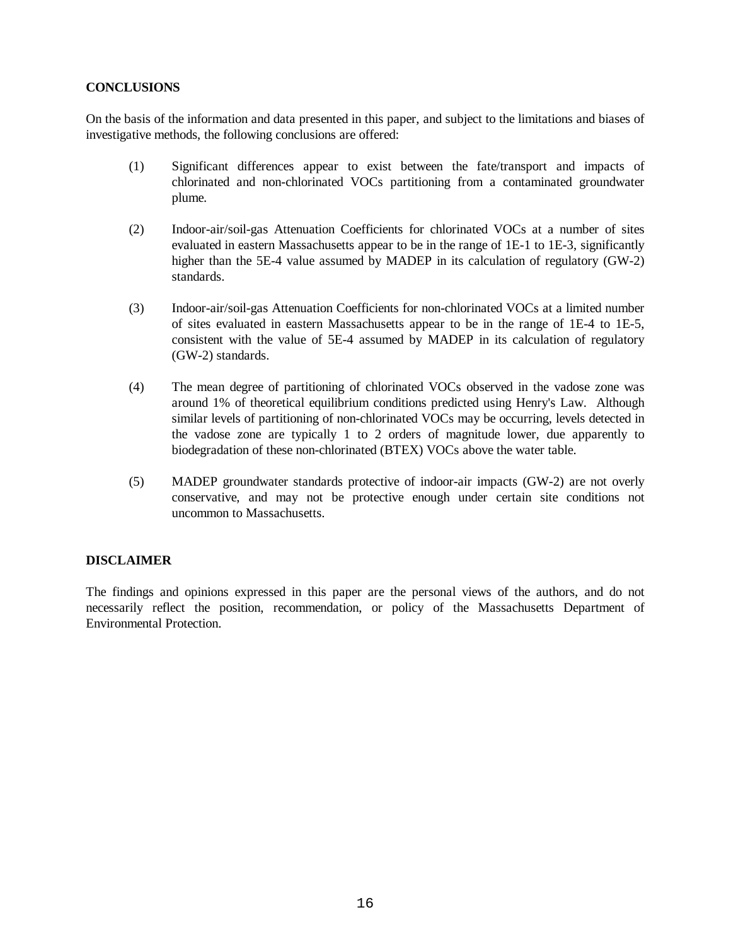## **CONCLUSIONS**

On the basis of the information and data presented in this paper, and subject to the limitations and biases of investigative methods, the following conclusions are offered:

- (1) Significant differences appear to exist between the fate/transport and impacts of chlorinated and non-chlorinated VOCs partitioning from a contaminated groundwater plume.
- (2) Indoor-air/soil-gas Attenuation Coefficients for chlorinated VOCs at a number of sites evaluated in eastern Massachusetts appear to be in the range of 1E-1 to 1E-3, significantly higher than the 5E-4 value assumed by MADEP in its calculation of regulatory (GW-2) standards.
- (3) Indoor-air/soil-gas Attenuation Coefficients for non-chlorinated VOCs at a limited number of sites evaluated in eastern Massachusetts appear to be in the range of 1E-4 to 1E-5, consistent with the value of 5E-4 assumed by MADEP in its calculation of regulatory (GW-2) standards.
- (4) The mean degree of partitioning of chlorinated VOCs observed in the vadose zone was around 1% of theoretical equilibrium conditions predicted using Henry's Law. Although similar levels of partitioning of non-chlorinated VOCs may be occurring, levels detected in the vadose zone are typically 1 to 2 orders of magnitude lower, due apparently to biodegradation of these non-chlorinated (BTEX) VOCs above the water table.
- (5) MADEP groundwater standards protective of indoor-air impacts (GW-2) are not overly conservative, and may not be protective enough under certain site conditions not uncommon to Massachusetts.

## **DISCLAIMER**

The findings and opinions expressed in this paper are the personal views of the authors, and do not necessarily reflect the position, recommendation, or policy of the Massachusetts Department of Environmental Protection.